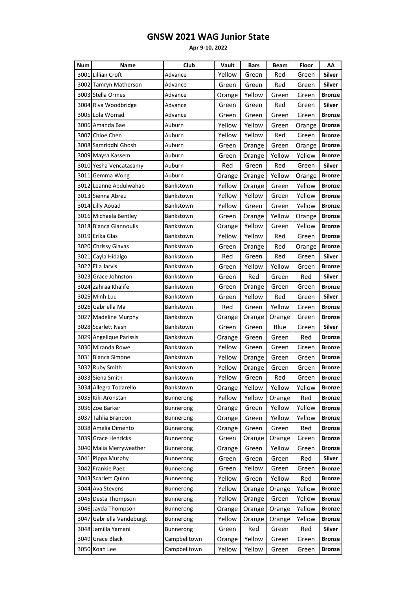| Num  | Name                    | Club             | Vault  | <b>Bars</b> | <b>Beam</b> | Floor  | AA            |
|------|-------------------------|------------------|--------|-------------|-------------|--------|---------------|
|      | 3001 Lillian Croft      | Advance          | Yellow | Green       | Red         | Green  | <b>Silver</b> |
|      | 3002 Tamryn Matherson   | Advance          | Green  | Green       | Red         | Green  | Silver        |
|      | 3003 Stella Ormes       | Advance          | Orange | Yellow      | Green       | Green  | <b>Bronze</b> |
|      | 3004 Riva Woodbridge    | Advance          | Green  | Green       | Red         | Green  | <b>Silver</b> |
|      | 3005 Lola Worrad        | Advance          | Green  | Green       | Green       | Green  | <b>Bronze</b> |
|      | 3006 Amanda Bae         | Auburn           | Yellow | Yellow      | Green       | Orange | <b>Bronze</b> |
|      | 3007 Chloe Chen         | Auburn           | Yellow | Yellow      | Red         | Green  | <b>Bronze</b> |
|      | 3008 Samriddhi Ghosh    | Auburn           | Green  | Orange      | Green       | Orange | <b>Bronze</b> |
|      | 3009 Maysa Kassem       | Auburn           | Green  | Orange      | Yellow      | Yellow | <b>Bronze</b> |
|      | 3010 Yesha Vencatasamy  | Auburn           | Red    | Green       | Red         | Green  | <b>Silver</b> |
|      | 3011 Gemma Wong         | Auburn           | Orange | Orange      | Yellow      | Orange | <b>Bronze</b> |
|      | 3012 Leanne Abdulwahab  | Bankstown        | Yellow | Orange      | Green       | Yellow | <b>Bronze</b> |
|      | 3013 Sienna Abreu       | Bankstown        | Yellow | Yellow      | Green       | Yellow | <b>Bronze</b> |
|      | 3014 Lilly Aouad        | Bankstown        | Yellow | Green       | Green       | Yellow | <b>Bronze</b> |
|      | 3016 Michaela Bentley   | Bankstown        | Green  | Orange      | Yellow      | Orange | <b>Bronze</b> |
|      | 3018 Bianca Giannoulis  | Bankstown        | Orange | Yellow      | Green       | Yellow | <b>Bronze</b> |
|      | 3019 Erika Glas         | Bankstown        | Yellow | Yellow      | Red         | Green  | <b>Bronze</b> |
|      | 3020 Chrissy Glavas     | Bankstown        | Green  | Orange      | Red         | Orange | <b>Bronze</b> |
|      | 3021 Cayla Hidalgo      | Bankstown        | Red    | Green       | Red         | Green  | <b>Silver</b> |
|      | 3022 Ella Jarvis        | Bankstown        | Green  | Yellow      | Yellow      | Green  | <b>Bronze</b> |
|      | 3023 Grace Johnston     | Bankstown        | Green  | Red         | Green       | Red    | Silver        |
|      | 3024 Zahraa Khalife     | Bankstown        | Green  | Orange      | Green       | Green  | <b>Bronze</b> |
|      | 3025 Minh Luu           | Bankstown        | Green  | Yellow      | Red         | Green  | <b>Silver</b> |
|      | 3026 Gabriella Ma       | Bankstown        | Red    | Green       | Yellow      | Green  | <b>Bronze</b> |
|      | 3027 Madeline Murphy    | Bankstown        | Orange | Orange      | Orange      | Green  | <b>Bronze</b> |
|      | 3028 Scarlett Nash      | Bankstown        | Green  | Green       | Blue        | Green  | Silver        |
|      | 3029 Angelique Parissis | Bankstown        | Orange | Green       | Green       | Red    | <b>Bronze</b> |
|      | 3030 Miranda Rowe       | Bankstown        | Yellow | Green       | Green       | Green  | <b>Bronze</b> |
|      | 3031 Bianca Simone      | Bankstown        | Yellow | Orange      | Green       | Green  | <b>Bronze</b> |
|      | 3032 Ruby Smith         | Bankstown        | Yellow | Orange      | Green       | Green  | <b>Bronze</b> |
|      | 3033 Siena Smith        | Bankstown        | Yellow | Green       | Red         | Green  | <b>Bronze</b> |
|      | 3034 Allegra Todarello  | Bankstown        | Orange | Yellow      | Yellow      | Yellow | <b>Bronze</b> |
|      | 3035 Kiki Aronstan      | Bunnerong        | Yellow | Yellow      | Orange      | Red    | <b>Bronze</b> |
|      | 3036 Zoe Barker         | Bunnerong        | Orange | Green       | Yellow      | Yellow | <b>Bronze</b> |
|      | 3037 Tahlia Brandon     | Bunnerong        | Orange | Green       | Yellow      | Yellow | <b>Bronze</b> |
|      | 3038 Amelia Dimento     | Bunnerong        | Orange | Green       | Green       | Red    | <b>Bronze</b> |
|      | 3039 Grace Henricks     | <b>Bunnerong</b> | Green  | Orange      | Orange      | Green  | <b>Bronze</b> |
|      | 3040 Malia Merryweather | Bunnerong        | Orange | Green       | Yellow      | Green  | <b>Bronze</b> |
|      | 3041 Pippa Murphy       | Bunnerong        | Green  | Green       | Green       | Red    | <b>Silver</b> |
|      | 3042 Frankie Paez       | Bunnerong        | Green  | Yellow      | Green       | Green  | <b>Bronze</b> |
|      | 3043 Scarlett Quinn     | Bunnerong        | Yellow | Green       | Yellow      | Red    | <b>Bronze</b> |
|      | 3044 Ava Stevens        | Bunnerong        | Yellow | Orange      | Orange      | Yellow | <b>Bronze</b> |
|      | 3045 Desta Thompson     | Bunnerong        | Yellow | Orange      | Green       | Yellow | <b>Bronze</b> |
|      | 3046 Jayda Thompson     | Bunnerong        | Orange | Orange      | Orange      | Yellow | <b>Bronze</b> |
| 3047 | Gabriella Vandeburgt    | <b>Bunnerong</b> | Yellow | Orange      | Orange      | Yellow | <b>Bronze</b> |
|      | 3048 Jamilla Yamani     | Bunnerong        | Green  | Red         | Green       | Red    | Silver        |
|      | 3049 Grace Black        | Campbelltown     | Orange | Yellow      | Green       | Green  | <b>Bronze</b> |
|      | 3050 Koah Lee           | Campbelltown     | Yellow | Yellow      | Green       | Green  | <b>Bronze</b> |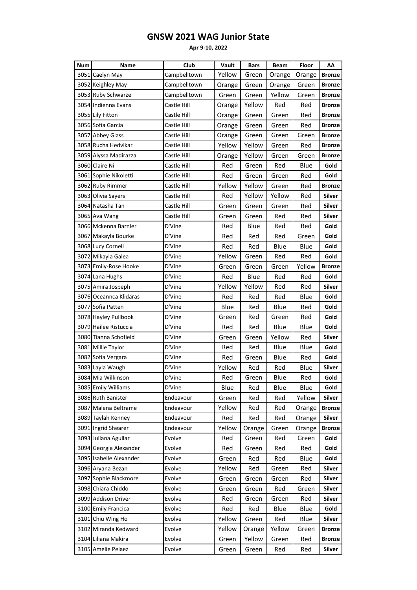| Num | Name                    | Club         | Vault  | <b>Bars</b> | <b>Beam</b> | Floor  | AA            |
|-----|-------------------------|--------------|--------|-------------|-------------|--------|---------------|
|     | 3051 Caelyn May         | Campbelltown | Yellow | Green       | Orange      | Orange | <b>Bronze</b> |
|     | 3052 Keighley May       | Campbelltown | Orange | Green       | Orange      | Green  | <b>Bronze</b> |
|     | 3053 Ruby Schwarze      | Campbelltown | Green  | Green       | Yellow      | Green  | <b>Bronze</b> |
|     | 3054 Indienna Evans     | Castle Hill  | Orange | Yellow      | Red         | Red    | <b>Bronze</b> |
|     | 3055 Lily Fitton        | Castle Hill  | Orange | Green       | Green       | Red    | <b>Bronze</b> |
|     | 3056 Sofia Garcia       | Castle Hill  | Orange | Green       | Green       | Red    | <b>Bronze</b> |
|     | 3057 Abbey Glass        | Castle Hill  | Orange | Green       | Green       | Green  | <b>Bronze</b> |
|     | 3058 Rucha Hedvikar     | Castle Hill  | Yellow | Yellow      | Green       | Red    | <b>Bronze</b> |
|     | 3059 Alyssa Madirazza   | Castle Hill  | Orange | Yellow      | Green       | Green  | <b>Bronze</b> |
|     | 3060 Claire Ni          | Castle Hill  | Red    | Green       | Red         | Blue   | Gold          |
|     | 3061 Sophie Nikoletti   | Castle Hill  | Red    | Green       | Green       | Red    | Gold          |
|     | 3062 Ruby Rimmer        | Castle Hill  | Yellow | Yellow      | Green       | Red    | <b>Bronze</b> |
|     | 3063 Olivia Sayers      | Castle Hill  | Red    | Yellow      | Yellow      | Red    | Silver        |
|     | 3064 Natasha Tan        | Castle Hill  | Green  | Green       | Green       | Red    | <b>Silver</b> |
|     | 3065 Ava Wang           | Castle Hill  | Green  | Green       | Red         | Red    | <b>Silver</b> |
|     | 3066 Mckenna Barnier    | D'Vine       | Red    | Blue        | Red         | Red    | Gold          |
|     | 3067 Makayla Bourke     | D'Vine       | Red    | Red         | Red         | Green  | Gold          |
|     | 3068 Lucy Cornell       | D'Vine       | Red    | Red         | Blue        | Blue   | Gold          |
|     | 3072 Mikayla Galea      | D'Vine       | Yellow | Green       | Red         | Red    | Gold          |
|     | 3073 Emily-Rose Hooke   | D'Vine       | Green  | Green       | Green       | Yellow | <b>Bronze</b> |
|     | 3074 Lana Hughs         | D'Vine       | Red    | Blue        | Red         | Red    | Gold          |
|     | 3075 Amira Jospeph      | D'Vine       | Yellow | Yellow      | Red         | Red    | Silver        |
|     | 3076 Oceannca Klidaras  | D'Vine       | Red    | Red         | Red         | Blue   | Gold          |
|     | 3077 Sofia Patten       | D'Vine       | Blue   | Red         | Blue        | Red    | Gold          |
|     | 3078 Hayley Pullbook    | D'Vine       | Green  | Red         | Green       | Red    | Gold          |
|     | 3079 Hailee Ristuccia   | D'Vine       | Red    | Red         | Blue        | Blue   | Gold          |
|     | 3080 Tianna Schofield   | D'Vine       | Green  | Green       | Yellow      | Red    | Silver        |
|     | 3081 Millie Taylor      | D'Vine       | Red    | Red         | Blue        | Blue   | Gold          |
|     | 3082 Sofia Vergara      | D'Vine       | Red    | Green       | Blue        | Red    | Gold          |
|     | 3083 Layla Waugh        | D'Vine       | Yellow | Red         | Red         | Blue   | Silver        |
|     | 3084 Mia Wilkinson      | D'Vine       | Red    | Green       | Blue        | Red    | Gold          |
|     | 3085 Emily Williams     | D'Vine       | Blue   | Red         | Blue        | Blue   | Gold          |
|     | 3086 Ruth Banister      | Endeavour    | Green  | Red         | Red         | Yellow | Silver        |
|     | 3087 Malena Beltrame    | Endeavour    | Yellow | Red         | Red         | Orange | <b>Bronze</b> |
|     | 3089 Taylah Kenney      | Endeavour    | Red    | Red         | Red         | Orange | Silver        |
|     | 3091 Ingrid Shearer     | Endeavour    | Yellow | Orange      | Green       | Orange | <b>Bronze</b> |
|     | 3093 Juliana Aguilar    | Evolve       | Red    | Green       | Red         | Green  | Gold          |
|     | 3094 Georgia Alexander  | Evolve       | Red    | Green       | Red         | Red    | Gold          |
|     | 3095 Isabelle Alexander | Evolve       | Green  | Red         | Red         | Blue   | Gold          |
|     | 3096 Aryana Bezan       | Evolve       | Yellow | Red         | Green       | Red    | Silver        |
|     | 3097 Sophie Blackmore   | Evolve       | Green  | Green       | Green       | Red    | Silver        |
|     | 3098 Chiara Chiddo      | Evolve       | Green  | Green       | Red         | Green  | <b>Silver</b> |
|     | 3099 Addison Driver     | Evolve       | Red    | Green       | Green       | Red    | Silver        |
|     | 3100 Emily Francica     | Evolve       | Red    | Red         | Blue        | Blue   | Gold          |
|     | 3101 Chiu Wing Ho       | Evolve       | Yellow | Green       | Red         | Blue   | Silver        |
|     | 3102 Miranda Kedward    | Evolve       | Yellow | Orange      | Yellow      | Green  | <b>Bronze</b> |
|     | 3104 Liliana Makira     | Evolve       | Green  | Yellow      | Green       | Red    | <b>Bronze</b> |
|     | 3105 Amelie Pelaez      | Evolve       | Green  | Green       | Red         | Red    | Silver        |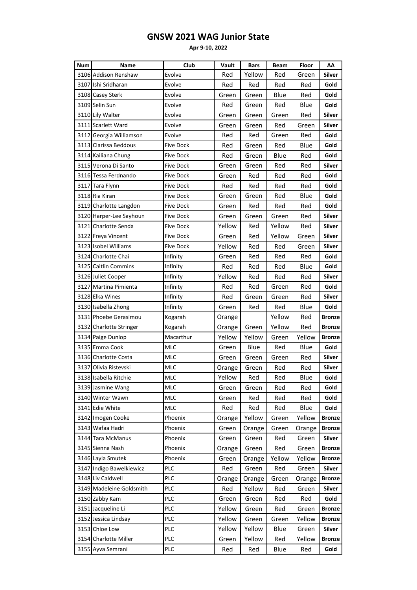| <b>Num</b> | Name                     | Club       | Vault  | <b>Bars</b> | <b>Beam</b> | Floor  | AA            |
|------------|--------------------------|------------|--------|-------------|-------------|--------|---------------|
|            | 3106 Addison Renshaw     | Evolve     | Red    | Yellow      | Red         | Green  | <b>Silver</b> |
|            | 3107 Ishi Sridharan      | Evolve     | Red    | Red         | Red         | Red    | Gold          |
|            | 3108 Casey Sterk         | Evolve     | Green  | Green       | Blue        | Red    | Gold          |
|            | 3109 Selin Sun           | Evolve     | Red    | Green       | Red         | Blue   | Gold          |
|            | 3110 Lily Walter         | Evolve     | Green  | Green       | Green       | Red    | <b>Silver</b> |
|            | 3111 Scarlett Ward       | Evolve     | Green  | Green       | Red         | Green  | Silver        |
|            | 3112 Georgia Williamson  | Evolve     | Red    | Red         | Green       | Red    | Gold          |
|            | 3113 Clarissa Beddous    | Five Dock  | Red    | Green       | Red         | Blue   | Gold          |
|            | 3114 Kailiana Chung      | Five Dock  | Red    | Green       | Blue        | Red    | Gold          |
|            | 3115 Verona Di Santo     | Five Dock  | Green  | Green       | Red         | Red    | <b>Silver</b> |
|            | 3116 Tessa Ferdnando     | Five Dock  | Green  | Red         | Red         | Red    | Gold          |
|            | 3117 Tara Flynn          | Five Dock  | Red    | Red         | Red         | Red    | Gold          |
|            | 3118 Ria Kiran           | Five Dock  | Green  | Green       | Red         | Blue   | Gold          |
|            | 3119 Charlotte Langdon   | Five Dock  | Green  | Red         | Red         | Red    | Gold          |
|            | 3120 Harper-Lee Sayhoun  | Five Dock  | Green  | Green       | Green       | Red    | <b>Silver</b> |
|            | 3121 Charlotte Senda     | Five Dock  | Yellow | Red         | Yellow      | Red    | Silver        |
|            | 3122 Freya Vincent       | Five Dock  | Green  | Red         | Yellow      | Green  | <b>Silver</b> |
|            | 3123 Isobel Williams     | Five Dock  | Yellow | Red         | Red         | Green  | <b>Silver</b> |
|            | 3124 Charlotte Chai      | Infinity   | Green  | Red         | Red         | Red    | Gold          |
|            | 3125 Caitlin Commins     | Infinity   | Red    | Red         | Red         | Blue   | Gold          |
|            | 3126 Juliet Cooper       | Infinity   | Yellow | Red         | Red         | Red    | Silver        |
|            | 3127 Martina Pimienta    | Infinity   | Red    | Red         | Green       | Red    | Gold          |
|            | 3128 Elka Wines          | Infinity   | Red    | Green       | Green       | Red    | <b>Silver</b> |
|            | 3130 Isabella Zhong      | Infinity   | Green  | Red         | Red         | Blue   | Gold          |
|            | 3131 Phoebe Gerasimou    | Kogarah    | Orange |             | Yellow      | Red    | <b>Bronze</b> |
|            | 3132 Charlotte Stringer  | Kogarah    | Orange | Green       | Yellow      | Red    | <b>Bronze</b> |
|            | 3134 Paige Dunlop        | Macarthur  | Yellow | Yellow      | Green       | Yellow | Bronze        |
|            | 3135 Emma Cook           | <b>MLC</b> | Green  | Blue        | Red         | Blue   | Gold          |
|            | 3136 Charlotte Costa     | <b>MLC</b> | Green  | Green       | Green       | Red    | <b>Silver</b> |
|            | 3137 Olivia Ristevski    | <b>MLC</b> | Orange | Green       | Red         | Red    | Silver        |
|            | 3138 Isabella Ritchie    | MLC        | Yellow | Red         | Red         | Blue   | Gold          |
|            | 3139 Jasmine Wang        | <b>MLC</b> | Green  | Green       | Red         | Red    | Gold          |
|            | 3140 Winter Wawn         | MLC        | Green  | Red         | Red         | Red    | Gold          |
|            | 3141 Edie White          | MLC        | Red    | Red         | Red         | Blue   | Gold          |
|            | 3142 Imogen Cooke        | Phoenix    | Orange | Yellow      | Green       | Yellow | <b>Bronze</b> |
|            | 3143 Wafaa Hadri         | Phoenix    | Green  | Orange      | Green       | Orange | <b>Bronze</b> |
|            | 3144 Tara McManus        | Phoenix    | Green  | Green       | Red         | Green  | <b>Silver</b> |
|            | 3145 Sienna Nash         | Phoenix    | Orange | Green       | Red         | Green  | <b>Bronze</b> |
|            | 3146 Layla Smutek        | Phoenix    | Green  | Orange      | Yellow      | Yellow | <b>Bronze</b> |
|            | 3147 Indigo Bawelkiewicz | PLC        | Red    | Green       | Red         | Green  | Silver        |
|            | 3148 Liv Caldwell        | PLC        | Orange | Orange      | Green       | Orange | <b>Bronze</b> |
|            | 3149 Madeleine Goldsmith | PLC        | Red    | Yellow      | Red         | Green  | Silver        |
|            | 3150 Zabby Kam           | PLC        | Green  | Green       | Red         | Red    | Gold          |
|            | 3151 Jacqueline Li       | PLC        | Yellow | Green       | Red         | Green  | <b>Bronze</b> |
|            | 3152 Jessica Lindsay     | PLC        | Yellow | Green       | Green       | Yellow | <b>Bronze</b> |
|            | 3153 Chloe Low           | PLC        | Yellow | Yellow      | Blue        | Green  | Silver        |
|            | 3154 Charlotte Miller    | PLC        | Green  | Yellow      | Red         | Yellow | <b>Bronze</b> |
|            | 3155 Ayva Semrani        | <b>PLC</b> | Red    | Red         | Blue        | Red    | Gold          |